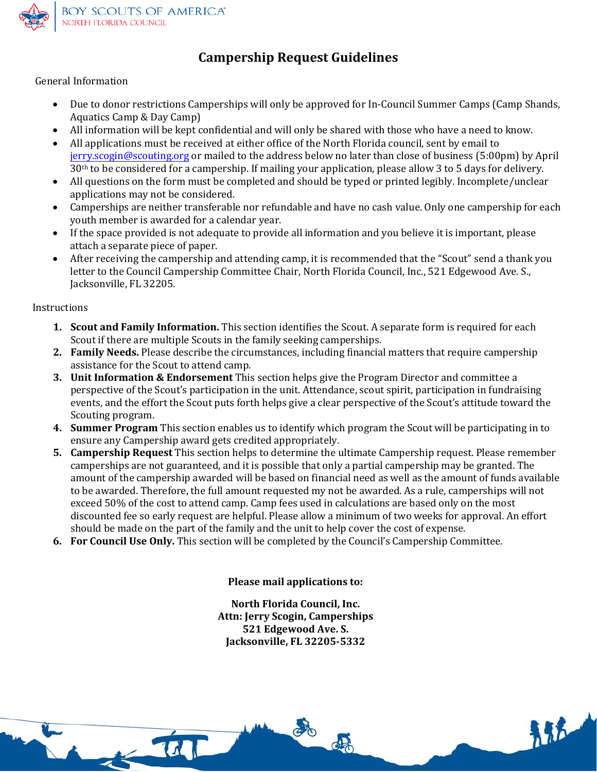

## **Campership Request Guidelines**

General Information

- Due to donor restrictions Camperships will only be approved for In-Council Summer Camps (Camp Shands, Aquatics Camp & Day Camp)
- [All information will be kep](mailto:jerry.scogin@scouting.org)t confidential and will only be shared with those who have a need to know.
- All applications must be received at either office of the North Florida council, sent by email to jerry.scogin@scouting.org or mailed to the address below no later than close of business (5:00pm) by April 30th to be considered for a campership. If mailing your application, please allow 3 to 5 days for delivery.
- All questions on the form must be completed and should be typed or printed legibly. Incomplete/unclear applications may not be considered.
- Camperships are neither transferable nor refundable and have no cash value. Only one campership for each youth member is awarded for a calendar year.
- If the space provided is not adequate to provide all information and you believe it is important, please attach a separate piece of paper.
- After receiving the campership and attending camp, it is recommended that the "Scout" send a thank you letter to the Council Campership Committee Chair, North Florida Council, Inc., 521 Edgewood Ave. S., Jacksonville, FL 32205.

Instructions

- **1. Scout and Family Information.** This section identifies the Scout. A separate form is required for each Scout if there are multiple Scouts in the family seeking camperships.
- **2. Family Needs.** Please describe the circumstances, including financial matters that require campership assistance for the Scout to attend camp.
- **3. Unit Information & Endorsement** This section helps give the Program Director and committee a perspective of the Scout's participation in the unit. Attendance, scout spirit, participation in fundraising events, and the effort the Scout puts forth helps give a clear perspective of the Scout's attitude toward the Scouting program.
- **4. Summer Program** This section enables us to identify which program the Scout will be participating in to ensure any Campership award gets credited appropriately.
- **5. Campership Request** This section helps to determine the ultimate Campership request. Please remember camperships are not guaranteed, and it is possible that only a partial campership may be granted. The amount of the campership awarded will be based on financial need as well as the amount of funds available to be awarded. Therefore, the full amount requested my not be awarded. As a rule, camperships will not exceed 50% of the cost to attend camp. Camp fees used in calculations are based only on the most discounted fee so early request are helpful. Please allow a minimum of two weeks for approval. An effort should be made on the part of the family and the unit to help cover the cost of expense.
- **6. For Council Use Only.** This section will be completed by the Council's Campership Committee.

**Please mail applications to:** 

**North Florida Council, Inc. Attn: Jerry Scogin, Camperships 521 Edgewood Ave. S. Jacksonville, FL 32205-5332**